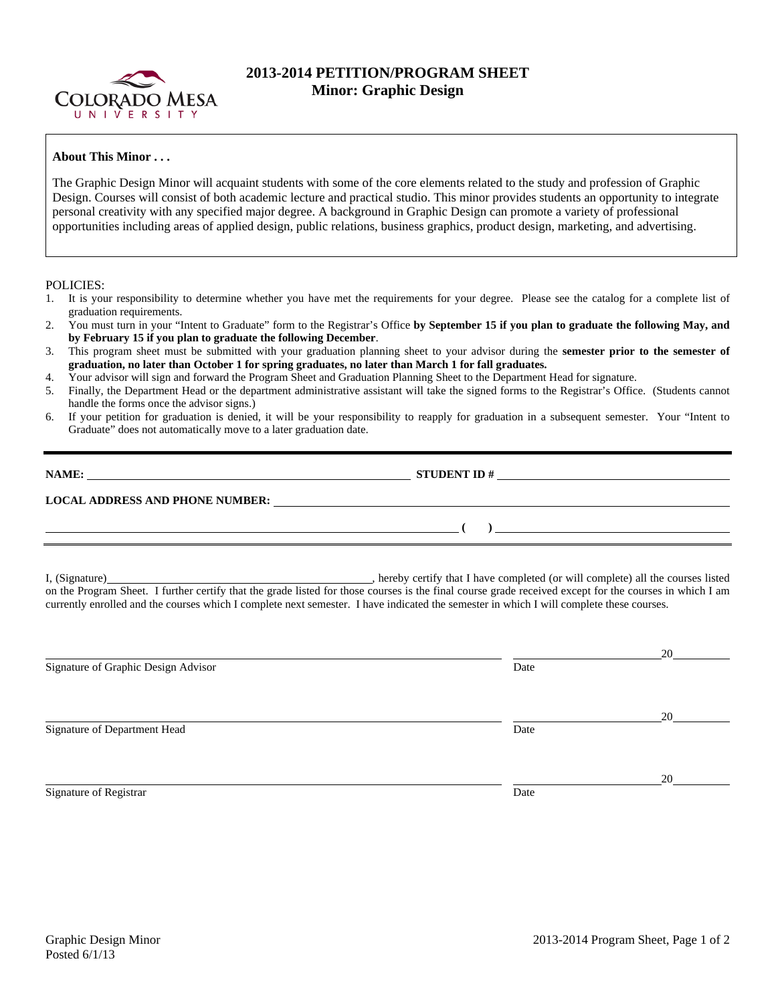

## **2013-2014 PETITION/PROGRAM SHEET Minor: Graphic Design**

## **About This Minor . . .**

The Graphic Design Minor will acquaint students with some of the core elements related to the study and profession of Graphic Design. Courses will consist of both academic lecture and practical studio. This minor provides students an opportunity to integrate personal creativity with any specified major degree. A background in Graphic Design can promote a variety of professional opportunities including areas of applied design, public relations, business graphics, product design, marketing, and advertising.

## POLICIES:

- 1. It is your responsibility to determine whether you have met the requirements for your degree. Please see the catalog for a complete list of graduation requirements.
- 2. You must turn in your "Intent to Graduate" form to the Registrar's Office **by September 15 if you plan to graduate the following May, and by February 15 if you plan to graduate the following December**.
- 3. This program sheet must be submitted with your graduation planning sheet to your advisor during the **semester prior to the semester of graduation, no later than October 1 for spring graduates, no later than March 1 for fall graduates.**
- 4. Your advisor will sign and forward the Program Sheet and Graduation Planning Sheet to the Department Head for signature.
- 5. Finally, the Department Head or the department administrative assistant will take the signed forms to the Registrar's Office. (Students cannot handle the forms once the advisor signs.)
- 6. If your petition for graduation is denied, it will be your responsibility to reapply for graduation in a subsequent semester. Your "Intent to Graduate" does not automatically move to a later graduation date.

| NAME:                                  | <b>STUDENT ID#</b> |  |
|----------------------------------------|--------------------|--|
| <b>LOCAL ADDRESS AND PHONE NUMBER:</b> |                    |  |
|                                        |                    |  |

I, (Signature) , hereby certify that I have completed (or will complete) all the courses listed on the Program Sheet. I further certify that the grade listed for those courses is the final course grade received except for the courses in which I am currently enrolled and the courses which I complete next semester. I have indicated the semester in which I will complete these courses.

|                                     |      | 20 |
|-------------------------------------|------|----|
| Signature of Graphic Design Advisor | Date |    |
|                                     |      |    |
|                                     |      | 20 |
| Signature of Department Head        | Date |    |
|                                     |      |    |
|                                     |      | 20 |
| Signature of Registrar              | Date |    |
|                                     |      |    |